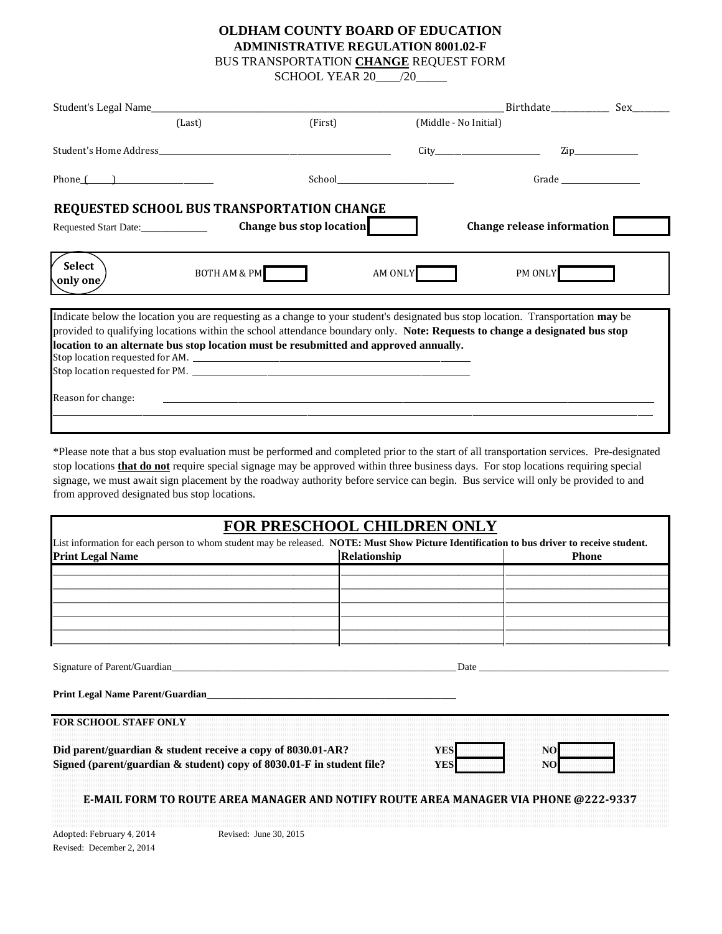## **OLDHAM COUNTY BOARD OF EDUCATION ADMINISTRATIVE REGULATION 8001.02-F** BUS TRANSPORTATION **CHANGE** REQUEST FORM

SCHOOL YEAR 20\_\_\_\_\_\_/20\_\_\_\_\_\_\_

| Student's Legal Name                                                                                        |              |                          |         | Birthdate <b>Exercise Service</b>                                                                                                                                                                                                                                                                                                                                                                                     | Sex              |
|-------------------------------------------------------------------------------------------------------------|--------------|--------------------------|---------|-----------------------------------------------------------------------------------------------------------------------------------------------------------------------------------------------------------------------------------------------------------------------------------------------------------------------------------------------------------------------------------------------------------------------|------------------|
|                                                                                                             | (Last)       | (First)                  |         | (Middle - No Initial)                                                                                                                                                                                                                                                                                                                                                                                                 |                  |
| Student's Home Address <b>Student Student Student</b> 's Home Address <b>Student's</b>                      |              |                          |         |                                                                                                                                                                                                                                                                                                                                                                                                                       | $\mathsf{Zip}\_$ |
| $Phone_{\_}$ $)$                                                                                            |              |                          | School  |                                                                                                                                                                                                                                                                                                                                                                                                                       |                  |
| REQUESTED SCHOOL BUS TRANSPORTATION CHANGE                                                                  |              |                          |         |                                                                                                                                                                                                                                                                                                                                                                                                                       |                  |
| Requested Start Date:_____________                                                                          |              | Change bus stop location |         | <b>Change release information</b>                                                                                                                                                                                                                                                                                                                                                                                     |                  |
| <b>Select</b><br>only one                                                                                   | BOTH AM & PM |                          | AM ONLY | PM ONLY                                                                                                                                                                                                                                                                                                                                                                                                               |                  |
| location to an alternate bus stop location must be resubmitted and approved annually.<br>Reason for change: |              |                          |         | Indicate below the location you are requesting as a change to your student's designated bus stop location. Transportation may be<br>provided to qualifying locations within the school attendance boundary only. Note: Requests to change a designated bus stop                                                                                                                                                       |                  |
| from approved designated bus stop locations.                                                                |              |                          |         | *Please note that a bus stop evaluation must be performed and completed prior to the start of all transportation services. Pre-designated<br>stop locations that do not require special signage may be approved within three business days. For stop locations requiring special<br>signage, we must await sign placement by the roadway authority before service can begin. Bus service will only be provided to and |                  |

## \_\_\_\_\_\_\_\_\_\_\_\_\_\_\_\_\_\_\_\_\_\_\_\_\_\_\_\_\_\_\_\_\_\_\_\_\_\_\_\_\_\_\_\_\_\_\_\_\_\_\_\_\_\_\_\_\_\_\_\_\_\_\_\_\_\_\_\_\_ \_\_\_\_\_\_\_\_\_\_\_\_\_\_\_\_\_\_\_\_\_\_\_\_\_\_\_\_\_\_\_\_\_\_\_\_\_\_\_ \_\_\_\_\_\_\_\_\_\_\_\_\_\_\_\_\_\_\_\_\_\_\_\_\_\_\_\_\_\_\_\_\_\_\_\_\_\_\_ List information for each person to whom student may be released. **NOTE: Must Show Picture Identification to bus driver to receive student. FOR PRESCHOOL CHILDREN ONLY** \_\_\_\_\_\_\_\_\_\_\_\_\_\_\_\_\_\_\_\_\_\_\_\_\_\_\_\_\_\_\_\_\_\_\_\_\_\_\_\_\_\_\_\_\_\_\_\_\_\_\_\_\_\_\_\_\_\_\_\_\_\_\_\_\_\_\_\_\_ \_\_\_\_\_\_\_\_\_\_\_\_\_\_\_\_\_\_\_\_\_\_\_\_\_\_\_\_\_\_\_\_\_\_\_\_\_\_\_\_\_\_\_\_\_\_\_\_\_\_\_\_\_\_\_\_\_\_\_\_\_\_\_\_\_\_\_\_\_ \_\_\_\_\_\_\_\_\_\_\_\_\_\_\_\_\_\_\_\_\_\_\_\_\_\_\_\_\_\_\_\_\_\_\_\_\_\_\_ \_\_\_\_\_\_\_\_\_\_\_\_\_\_\_\_\_\_\_\_\_\_\_\_\_\_\_\_\_\_\_\_\_\_\_\_\_\_\_ \_\_\_\_\_\_\_\_\_\_\_\_\_\_\_\_\_\_\_\_\_\_\_\_\_\_\_\_\_\_\_\_\_\_\_\_\_\_\_\_\_\_\_\_\_\_\_\_\_\_\_\_\_\_\_\_\_\_\_\_\_\_\_\_\_\_\_\_\_ \_\_\_\_\_\_\_\_\_\_\_\_\_\_\_\_\_\_\_\_\_\_\_\_\_\_\_\_\_\_\_\_\_\_\_\_\_\_\_ \_\_\_\_\_\_\_\_\_\_\_\_\_\_\_\_\_\_\_\_\_\_\_\_\_\_\_\_\_\_\_\_\_\_\_\_\_\_\_ \_\_\_\_\_\_\_\_\_\_\_\_\_\_\_\_\_\_\_\_\_\_\_\_\_\_\_\_\_\_\_\_\_\_\_\_\_\_\_ \_\_\_\_\_\_\_\_\_\_\_\_\_\_\_\_\_\_\_\_\_\_\_\_\_\_\_\_\_\_\_\_\_\_\_\_\_\_\_ \_\_\_\_\_\_\_\_\_\_\_\_\_\_\_\_\_\_\_\_\_\_\_\_\_\_\_\_\_\_\_\_\_\_\_\_\_\_\_\_\_\_\_\_\_\_\_\_\_\_\_\_\_\_\_\_\_\_\_\_\_\_\_\_\_\_\_\_\_ \_\_\_\_\_\_\_\_\_\_\_\_\_\_\_\_\_\_\_\_\_\_\_\_\_\_\_\_\_\_\_\_\_\_\_\_\_\_\_ \_\_\_\_\_\_\_\_\_\_\_\_\_\_\_\_\_\_\_\_\_\_\_\_\_\_\_\_\_\_\_\_\_\_\_\_\_\_\_ **Print Legal Name Phone Relationship Phone Phone Phone** \_\_\_\_\_\_\_\_\_\_\_\_\_\_\_\_\_\_\_\_\_\_\_\_\_\_\_\_\_\_\_\_\_\_\_\_\_\_\_\_\_\_\_\_\_\_\_\_\_\_\_\_\_\_\_\_\_\_\_\_\_\_\_\_\_\_\_\_\_ \_\_\_\_\_\_\_\_\_\_\_\_\_\_\_\_\_\_\_\_\_\_\_\_\_\_\_\_\_\_\_\_\_\_\_\_\_\_\_ \_\_\_\_\_\_\_\_\_\_\_\_\_\_\_\_\_\_\_\_\_\_\_\_\_\_\_\_\_\_\_\_\_\_\_\_\_\_\_

Signature of Parent/Guardian\_\_\_\_\_\_\_\_\_\_\_\_\_\_\_\_\_\_\_\_\_\_\_\_\_\_\_\_\_\_\_\_\_\_\_\_\_\_\_\_\_\_\_\_\_\_\_\_\_\_\_\_\_\_\_\_\_\_\_\_\_\_\_\_\_\_\_ Date \_\_\_\_\_\_\_\_\_\_\_\_\_\_\_\_\_\_\_\_\_\_\_\_\_\_\_\_\_\_\_\_\_\_\_\_\_\_\_\_\_\_\_\_\_\_

| <b>Print Legal Name Parent/Guardian_</b> |  |
|------------------------------------------|--|
|                                          |  |

**FOR SCHOOL STAFF ONLY**

**Did parent/guardian & student receive a copy of 8030.01-AR? Signed (parent/guardian & student) copy of 8030.01-F in student file?**

| <b>YES</b>  | NΩ |
|-------------|----|
| <b>YESI</b> | NO |



## **E-MAIL FORM TO ROUTE AREA MANAGER AND NOTIFY ROUTE AREA MANAGER VIA PHONE @222-9337**

Adopted: February 4, 2014 Revised: December 2, 2014

Revised: June 30, 2015